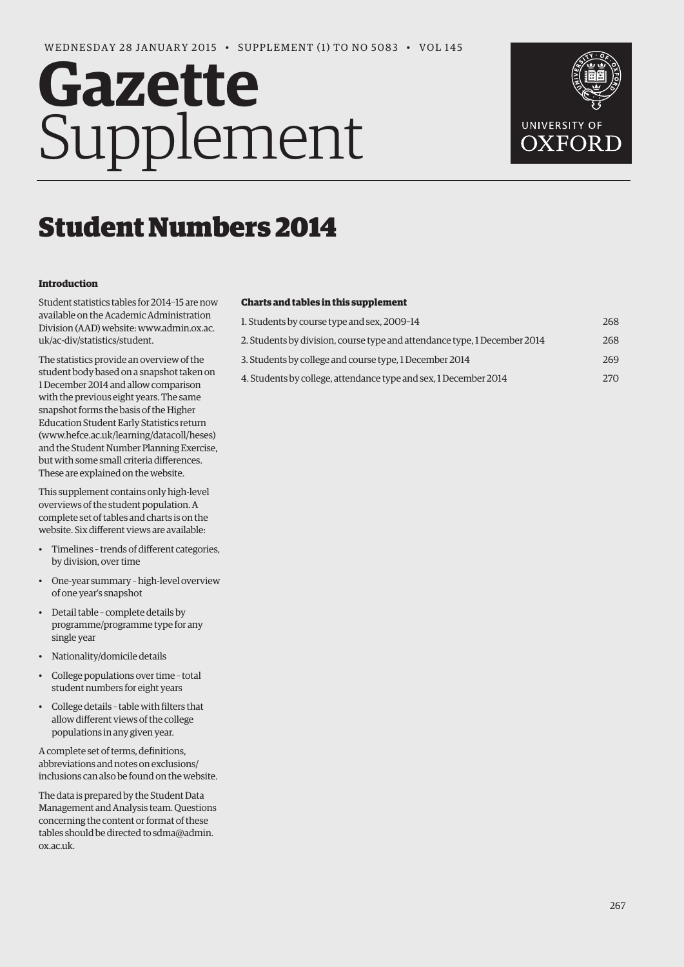# **Gazette** Supplement



## Student Numbers 2014

#### **Introduction**

Student statistics tables for 2014–15 are now available on the Academic Administration [Division \(AAD\) website: www.admin.ox.ac.](www.admin.ox.ac.uk/ac-div/statistics/student) uk/ac-div/statistics/student.

The statistics provide an overview of the student body based on a snapshot taken on 1 December 2014 and allow comparison with the previous eight years. The same snapshot forms the basis of the Higher Education Student Early Statistics return (www.hefce.ac.uk/learning/datacoll/heses) and the Student Number Planning Exercise, but with some small criteria differences. These are explained on the website.

This supplement contains only high-level overviews of the student population. A complete set of tables and charts is on the website. Six different views are available:

- Timelines trends of different categories, by division, over time
- One-year summary high-level overview of one year's snapshot
- Detail table complete details by programme/programme type for any single year
- Nationality/domicile details
- College populations over time total student numbers for eight years
- College details table with filters that allow different views of the college populations in any given year.

A complete set of terms, definitions, abbreviations and notes on exclusions/ inclusions can also be found on the website.

The data is prepared by the Student Data Management and Analysis team. Questions concerning the content or format of these [tables should be directed to sdma@admin.](mailto:sdma@admin.ox.ac.uk)  ox.ac.uk.

#### **Charts and tables in this supplement**

| 1. Students by course type and sex, 2009-14                               | 268 |
|---------------------------------------------------------------------------|-----|
| 2. Students by division, course type and attendance type, 1 December 2014 | 268 |
| 3. Students by college and course type, 1 December 2014                   | 269 |
| 4. Students by college, attendance type and sex, 1 December 2014          | 270 |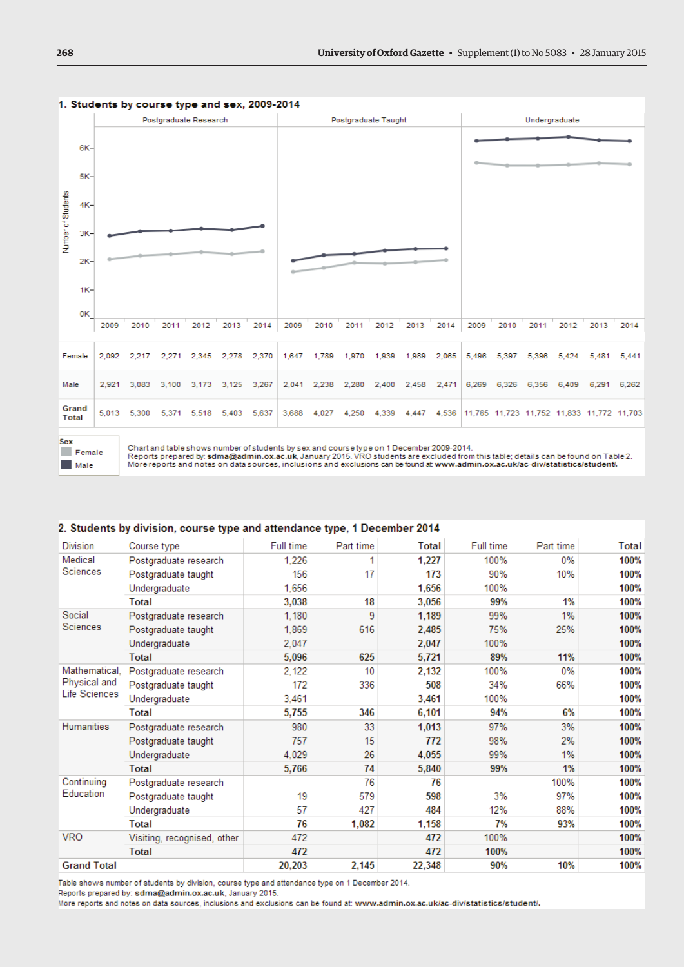

#### <span id="page-1-0"></span>1. Students by course type and sex, 2009-2014

Female **Male** 

Chart and table shows number of students by sex and course type on 1 December 2009-2014.

Reports prepared by: sdma@admin.ox.ac.uk, January 2015. VRO students are excluded from this table; details can be found on Table 2.<br>More reports and notes on data sources, inclusions and exclusions can be found at www.admi

#### 2. Students by division, course type and attendance type, 1 December 2014

| <b>Division</b>                      | Course type                 | Full time | Part time | <b>Total</b> | Full time | Part time | Total |
|--------------------------------------|-----------------------------|-----------|-----------|--------------|-----------|-----------|-------|
| Medical<br>Sciences                  | Postgraduate research       | 1.226     | 1         | 1,227        | 100%      | $0\%$     | 100%  |
|                                      | Postgraduate taught         | 156       | 17        | 173          | 90%       | 10%       | 100%  |
|                                      | Undergraduate               | 1,656     |           | 1,656        | 100%      |           | 100%  |
|                                      | Total                       | 3.038     | 18        | 3,056        | 99%       | 1%        | 100%  |
| Social                               | Postgraduate research       | 1.180     | 9         | 1,189        | 99%       | 1%        | 100%  |
| Sciences                             | Postgraduate taught         | 1,869     | 616       | 2,485        | 75%       | 25%       | 100%  |
|                                      | Undergraduate               | 2.047     |           | 2,047        | 100%      |           | 100%  |
|                                      | Total                       | 5,096     | 625       | 5,721        | 89%       | 11%       | 100%  |
| Mathematical.                        | Postgraduate research       | 2.122     | 10        | 2,132        | 100%      | $0\%$     | 100%  |
| Physical and<br><b>Life Sciences</b> | Postgraduate taught         | 172       | 336       | 508          | 34%       | 66%       | 100%  |
|                                      | Undergraduate               | 3,461     |           | 3,461        | 100%      |           | 100%  |
|                                      | Total                       | 5,755     | 346       | 6,101        | 94%       | 6%        | 100%  |
| Humanities                           | Postgraduate research       | 980       | 33        | 1,013        | 97%       | 3%        | 100%  |
|                                      | Postgraduate taught         | 757       | 15        | 772          | 98%       | 2%        | 100%  |
|                                      | Undergraduate               | 4,029     | 26        | 4,055        | 99%       | 1%        | 100%  |
|                                      | Total                       | 5,766     | 74        | 5,840        | 99%       | 1%        | 100%  |
| Continuina<br>Education              | Postgraduate research       |           | 76        | 76           |           | 100%      | 100%  |
|                                      | Postgraduate taught         | 19        | 579       | 598          | 3%        | 97%       | 100%  |
|                                      | Undergraduate               | 57        | 427       | 484          | 12%       | 88%       | 100%  |
|                                      | Total                       | 76        | 1,082     | 1,158        | 7%        | 93%       | 100%  |
| <b>VRO</b>                           | Visiting, recognised, other | 472       |           | 472          | 100%      |           | 100%  |
|                                      | Total                       | 472       |           | 472          | 100%      |           | 100%  |
| <b>Grand Total</b>                   |                             | 20,203    | 2,145     | 22,348       | 90%       | 10%       | 100%  |

Table shows number of students by division, course type and attendance type on 1 December 2014.

Reports prepared by: sdma@admin.ox.ac.uk, January 2015.

More reports and notes on data sources, inclusions and exclusions can be found at: www.admin.ox.ac.uk/ac-div/statistics/student/.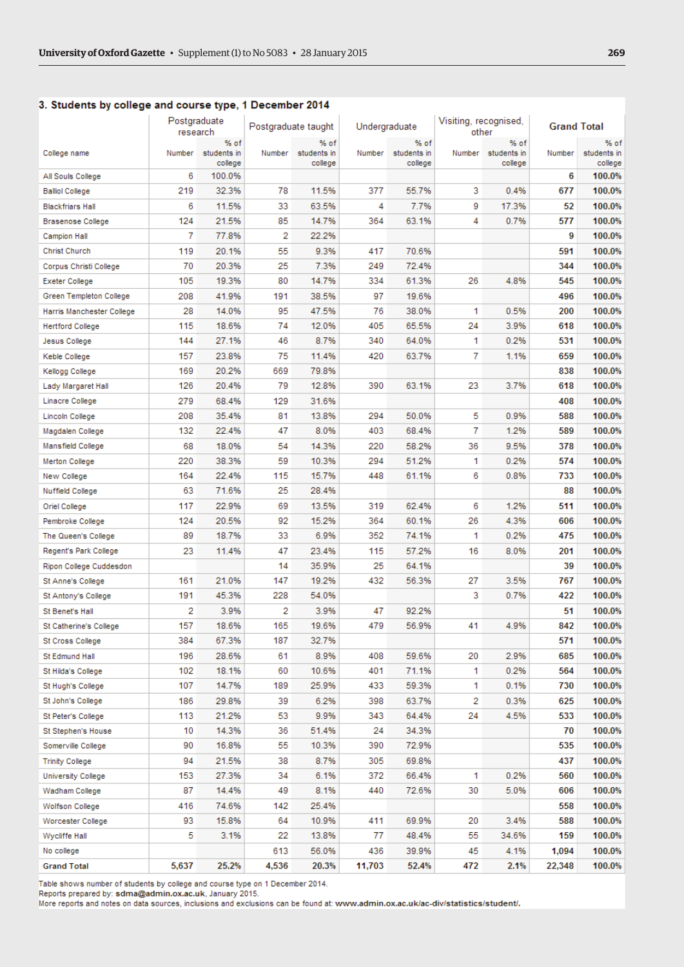#### <span id="page-2-0"></span>3. Students by college and course type, 1 December 2014

|                           | Postgraduate<br>research |                                | Postgraduate taught |                                | Undergraduate |                                | Visiting, recognised,<br>other |                                       | <b>Grand Total</b> |                                |
|---------------------------|--------------------------|--------------------------------|---------------------|--------------------------------|---------------|--------------------------------|--------------------------------|---------------------------------------|--------------------|--------------------------------|
| College name              | Number                   | % of<br>students in<br>college | Number              | % of<br>students in<br>college | Number        | % of<br>students in<br>college |                                | % of<br>Number students in<br>college | Number             | % of<br>students in<br>college |
| All Souls College         | 6                        | 100.0%                         |                     |                                |               |                                |                                |                                       | 6                  | 100.0%                         |
| <b>Balliol College</b>    | 219                      | 32.3%                          | 78                  | 11.5%                          | 377           | 55.7%                          | 3                              | 0.4%                                  | 677                | 100.0%                         |
| <b>Blackfriars Hall</b>   | 6                        | 11.5%                          | 33                  | 63.5%                          | 4             | 7.7%                           | 9                              | 17.3%                                 | 52                 | 100.0%                         |
| <b>Brasenose College</b>  | 124                      | 21.5%                          | 85                  | 14.7%                          | 364           | 63.1%                          | 4                              | 0.7%                                  | 577                | 100.0%                         |
| <b>Campion Hall</b>       | 7                        | 77.8%                          | 2                   | 22.2%                          |               |                                |                                |                                       | 9                  | 100.0%                         |
| Christ Church             | 119                      | 20.1%                          | 55                  | 9.3%                           | 417           | 70.6%                          |                                |                                       | 591                | 100.0%                         |
| Corpus Christi College    | 70                       | 20.3%                          | 25                  | 7.3%                           | 249           | 72.4%                          |                                |                                       | 344                | 100.0%                         |
| <b>Exeter College</b>     | 105                      | 19.3%                          | 80                  | 14.7%                          | 334           | 61.3%                          | 26                             | 4.8%                                  | 545                | 100.0%                         |
| Green Templeton College   | 208                      | 41.9%                          | 191                 | 38.5%                          | 97            | 19.6%                          |                                |                                       | 496                | 100.0%                         |
| Harris Manchester College | 28                       | 14.0%                          | 95                  | 47.5%                          | 76            | 38.0%                          | 1                              | 0.5%                                  | 200                | 100.0%                         |
| <b>Hertford College</b>   | 115                      | 18.6%                          | 74                  | 12.0%                          | 405           | 65.5%                          | 24                             | 3.9%                                  | 618                | 100.0%                         |
| Jesus College             | 144                      | 27.1%                          | 46                  | 8.7%                           | 340           | 64.0%                          | 1                              | 0.2%                                  | 531                | 100.0%                         |
| Keble College             | 157                      | 23.8%                          | 75                  | 11.4%                          | 420           | 63.7%                          | 7                              | 1.1%                                  | 659                | 100.0%                         |
| Kellogg College           | 169                      | 20.2%                          | 669                 | 79.8%                          |               |                                |                                |                                       | 838                | 100.0%                         |
| Lady Margaret Hall        | 126                      | 20.4%                          | 79                  | 12.8%                          | 390           | 63.1%                          | 23                             | 3.7%                                  | 618                | 100.0%                         |
| Linacre College           | 279                      | 68.4%                          | 129                 | 31.6%                          |               |                                |                                |                                       | 408                | 100.0%                         |
| <b>Lincoln College</b>    | 208                      | 35.4%                          | 81                  | 13.8%                          | 294           | 50.0%                          | 5                              | 0.9%                                  | 588                | 100.0%                         |
| Magdalen College          | 132                      | 22.4%                          | 47                  | 8.0%                           | 403           | 68.4%                          | 7                              | 1.2%                                  | 589                | 100.0%                         |
| Mansfield College         | 68                       | 18.0%                          | 54                  | 14.3%                          | 220           | 58.2%                          | 36                             | 9.5%                                  | 378                | 100.0%                         |
| Merton College            | 220                      | 38.3%                          | 59                  | 10.3%                          | 294           | 51.2%                          | 1                              | 0.2%                                  | 574                | 100.0%                         |
| New College               | 164                      | 22.4%                          | 115                 | 15.7%                          | 448           | 61.1%                          | 6                              | 0.8%                                  | 733                | 100.0%                         |
| <b>Nuffield College</b>   | 63                       | 71.6%                          | 25                  | 28.4%                          |               |                                |                                |                                       | 88                 | 100.0%                         |
| Oriel College             | 117                      | 22.9%                          | 69                  | 13.5%                          | 319           | 62.4%                          | 6                              | 1.2%                                  | 511                | 100.0%                         |
| Pembroke College          | 124                      | 20.5%                          | 92                  | 15.2%                          | 364           | 60.1%                          | 26                             | 4.3%                                  | 606                | 100.0%                         |
| The Queen's College       | 89                       | 18.7%                          | 33                  | 6.9%                           | 352           | 74.1%                          | 1                              | 0.2%                                  | 475                | 100.0%                         |
| Regent's Park College     | 23                       | 11.4%                          | 47                  | 23.4%                          | 115           | 57.2%                          | 16                             | 8.0%                                  | 201                | 100.0%                         |
| Ripon College Cuddesdon   |                          |                                | 14                  | 35.9%                          | 25            | 64.1%                          |                                |                                       | 39                 | 100.0%                         |
| St Anne's College         | 161                      | 21.0%                          | 147                 | 19.2%                          | 432           | 56.3%                          | 27                             | 3.5%                                  | 767                | 100.0%                         |
| St Antony's College       | 191                      | 45.3%                          | 228                 | 54.0%                          |               |                                | 3                              | 0.7%                                  | 422                | 100.0%                         |
| St Benet's Hall           | 2                        | 3.9%                           | 2                   | 3.9%                           | 47            | 92.2%                          |                                |                                       | 51                 | 100.0%                         |
| St Catherine's College    | 157                      | 18.6%                          | 165                 | 19.6%                          | 479           | 56.9%                          | 41                             | 4.9%                                  | 842                | 100.0%                         |
| St Cross College          | 384                      | 67.3%                          | 187                 | 32.7%                          |               |                                |                                |                                       | 571                | 100.0%                         |
| St Edmund Hall            | 196                      | 28.6%                          | 61                  | 8.9%                           | 408           | 59.6%                          | 20                             | 2.9%                                  | 685                | 100.0%                         |
| St Hilda's College        | 102                      | 18.1%                          | 60                  | 10.6%                          | 401           | 71.1%                          | 1.                             | 0.2%                                  | 564                | 100.0%                         |
| St Hugh's College         | 107                      | 14.7%                          | 189                 | 25.9%                          | 433           | 59.3%                          | 1.                             | 0.1%                                  | 730                | 100.0%                         |
| St John's College         | 186                      | 29.8%                          | 39                  | 6.2%                           | 398           | 63.7%                          | 2                              | 0.3%                                  | 625                | 100.0%                         |
| St Peter's College        | 113                      | 21.2%                          | 53                  | 9.9%                           | 343           | 64.4%                          | 24                             | 4.5%                                  | 533                | 100.0%                         |
| St Stephen's House        | 10                       | 14.3%                          | 36                  | 51.4%                          | 24            | 34.3%                          |                                |                                       | 70                 | 100.0%                         |
| Somerville College        | 90                       | 16.8%                          | 55                  | 10.3%                          | 390           | 72.9%                          |                                |                                       | 535                | 100.0%                         |
| <b>Trinity College</b>    | 94                       | 21.5%                          | 38                  | 8.7%                           | 305           | 69.8%                          |                                |                                       | 437                | 100.0%                         |
| <b>University College</b> | 153                      | 27.3%                          | 34                  | 6.1%                           | 372           | 66.4%                          | 1                              | 0.2%                                  | 560                | 100.0%                         |
| Wadham College            | 87                       | 14.4%                          | 49                  | 8.1%                           | 440           | 72.6%                          | 30                             | 5.0%                                  | 606                | 100.0%                         |
| Wolfson College           | 416                      | 74.6%                          | 142                 | 25.4%                          |               |                                |                                |                                       | 558                | 100.0%                         |
| Worcester College         | 93                       | 15.8%                          | 64                  | 10.9%                          | 411           | 69.9%                          | 20                             | 3.4%                                  | 588                | 100.0%                         |
| Wycliffe Hall             | 5                        | 3.1%                           | 22                  | 13.8%                          | 77            | 48.4%                          | 55                             | 34.6%                                 | 159                | 100.0%                         |
| No college                |                          |                                | 613                 | 56.0%                          | 436           | 39.9%                          | 45                             | 4.1%                                  | 1,094              | 100.0%                         |
| <b>Grand Total</b>        | 5,637                    | 25.2%                          | 4,536               | 20.3%                          | 11,703        | 52.4%                          | 472                            | 2.1%                                  | 22,348             | 100.0%                         |
|                           |                          |                                |                     |                                |               |                                |                                |                                       |                    |                                |

Table shows number of students by college and course type on 1 December 2014.

Reports prepared by: sdma@admin.ox.ac.uk, January 2015.

More reports and notes on data sources, inclusions and exclusions can be found at: www.admin.ox.ac.uk/ac-div/statistics/student/.